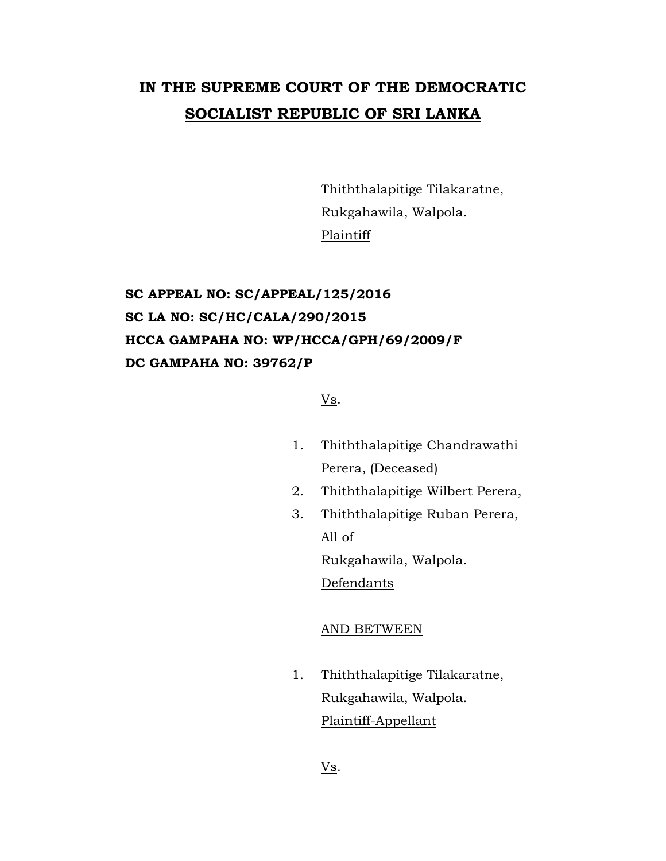# **IN THE SUPREME COURT OF THE DEMOCRATIC SOCIALIST REPUBLIC OF SRI LANKA**

Thiththalapitige Tilakaratne, Rukgahawila, Walpola. Plaintiff

## **SC APPEAL NO: SC/APPEAL/125/2016 SC LA NO: SC/HC/CALA/290/2015 HCCA GAMPAHA NO: WP/HCCA/GPH/69/2009/F DC GAMPAHA NO: 39762/P**

### Vs.

- 1. Thiththalapitige Chandrawathi Perera, (Deceased)
- 2. Thiththalapitige Wilbert Perera,
- 3. Thiththalapitige Ruban Perera, All of Rukgahawila, Walpola.

**Defendants** 

#### AND BETWEEN

1. Thiththalapitige Tilakaratne, Rukgahawila, Walpola. Plaintiff-Appellant

Vs.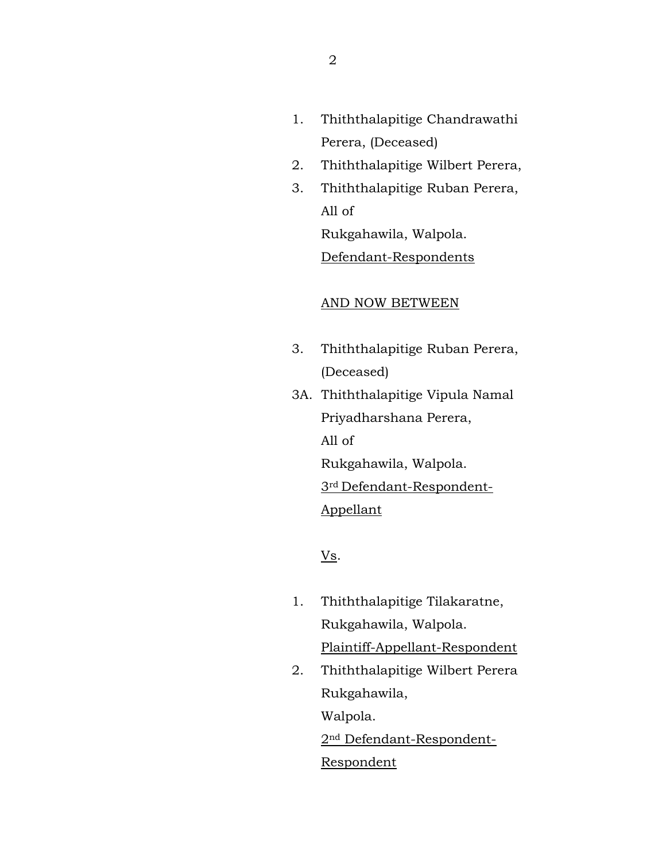- 1. Thiththalapitige Chandrawathi Perera, (Deceased)
- 2. Thiththalapitige Wilbert Perera,
- 3. Thiththalapitige Ruban Perera, All of Rukgahawila, Walpola.

Defendant-Respondents

## AND NOW BETWEEN

- 3. Thiththalapitige Ruban Perera, (Deceased)
- 3A. Thiththalapitige Vipula Namal Priyadharshana Perera, All of Rukgahawila, Walpola. 3rd Defendant-Respondent-Appellant

Vs.

- 1. Thiththalapitige Tilakaratne, Rukgahawila, Walpola. Plaintiff-Appellant-Respondent
- 2. Thiththalapitige Wilbert Perera Rukgahawila, Walpola. 2nd Defendant-Respondent-

Respondent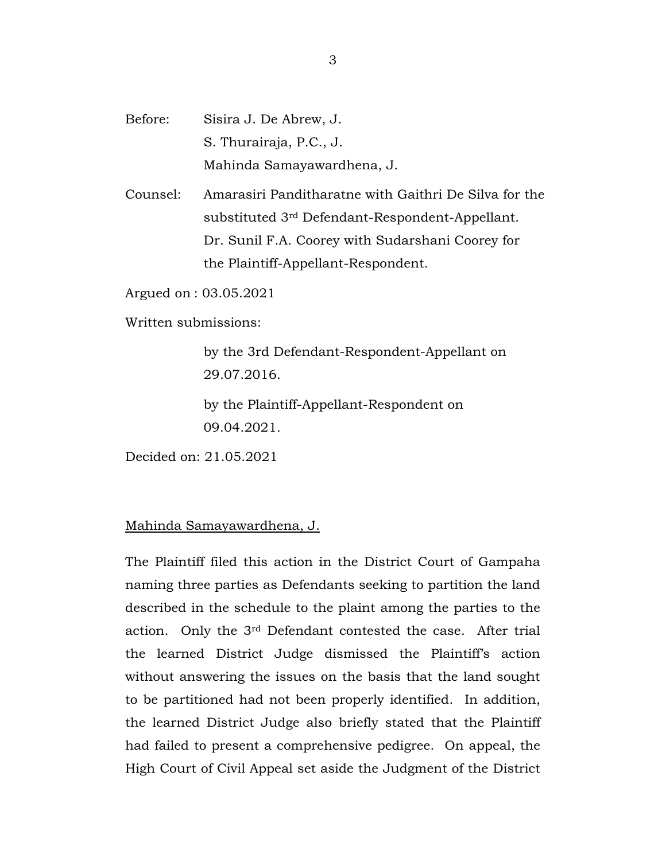Before: Sisira J. De Abrew, J. S. Thurairaja, P.C., J. Mahinda Samayawardhena, J.

Counsel: Amarasiri Panditharatne with Gaithri De Silva for the substituted 3rd Defendant-Respondent-Appellant. Dr. Sunil F.A. Coorey with Sudarshani Coorey for the Plaintiff-Appellant-Respondent.

Argued on : 03.05.2021

Written submissions:

by the 3rd Defendant-Respondent-Appellant on 29.07.2016.

by the Plaintiff-Appellant-Respondent on 09.04.2021.

Decided on: 21.05.2021

### Mahinda Samayawardhena, J.

The Plaintiff filed this action in the District Court of Gampaha naming three parties as Defendants seeking to partition the land described in the schedule to the plaint among the parties to the action. Only the 3rd Defendant contested the case. After trial the learned District Judge dismissed the Plaintiff's action without answering the issues on the basis that the land sought to be partitioned had not been properly identified. In addition, the learned District Judge also briefly stated that the Plaintiff had failed to present a comprehensive pedigree. On appeal, the High Court of Civil Appeal set aside the Judgment of the District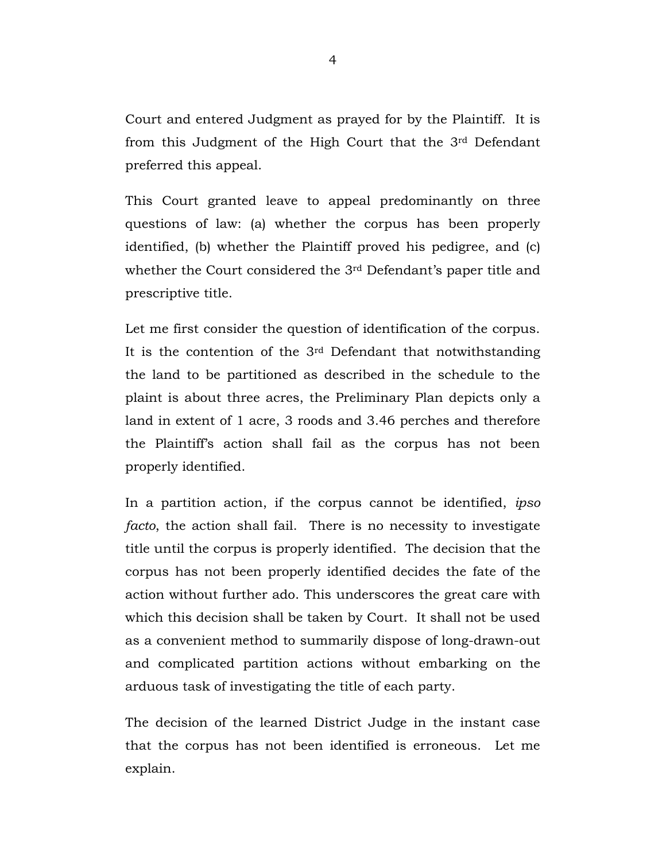Court and entered Judgment as prayed for by the Plaintiff. It is from this Judgment of the High Court that the 3rd Defendant preferred this appeal.

This Court granted leave to appeal predominantly on three questions of law: (a) whether the corpus has been properly identified, (b) whether the Plaintiff proved his pedigree, and (c) whether the Court considered the 3rd Defendant's paper title and prescriptive title.

Let me first consider the question of identification of the corpus. It is the contention of the  $3<sup>rd</sup>$  Defendant that notwithstanding the land to be partitioned as described in the schedule to the plaint is about three acres, the Preliminary Plan depicts only a land in extent of 1 acre, 3 roods and 3.46 perches and therefore the Plaintiff's action shall fail as the corpus has not been properly identified.

In a partition action, if the corpus cannot be identified, *ipso facto*, the action shall fail. There is no necessity to investigate title until the corpus is properly identified. The decision that the corpus has not been properly identified decides the fate of the action without further ado. This underscores the great care with which this decision shall be taken by Court. It shall not be used as a convenient method to summarily dispose of long-drawn-out and complicated partition actions without embarking on the arduous task of investigating the title of each party.

The decision of the learned District Judge in the instant case that the corpus has not been identified is erroneous. Let me explain.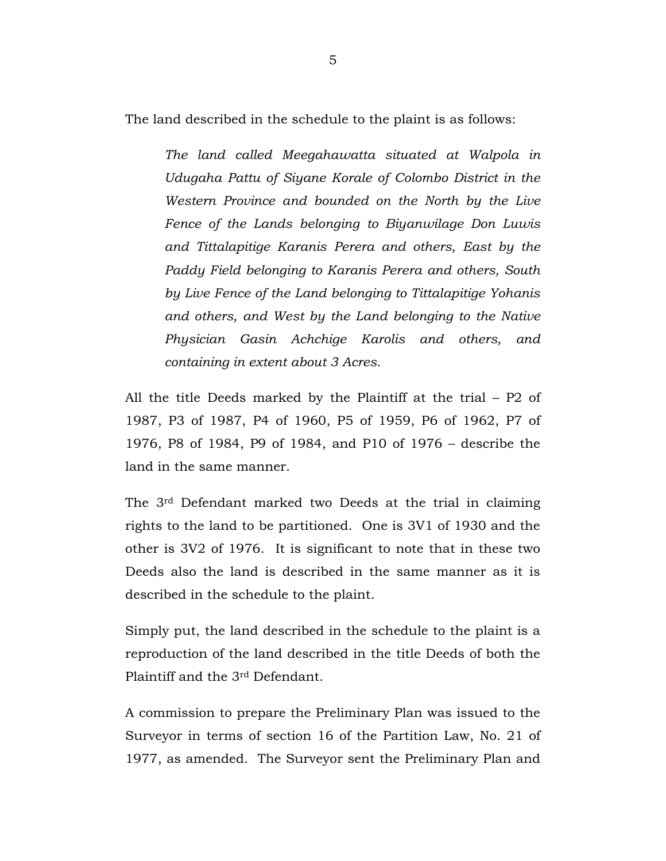The land described in the schedule to the plaint is as follows:

*The land called Meegahawatta situated at Walpola in Udugaha Pattu of Siyane Korale of Colombo District in the Western Province and bounded on the North by the Live Fence of the Lands belonging to Biyanwilage Don Luwis and Tittalapitige Karanis Perera and others, East by the Paddy Field belonging to Karanis Perera and others, South by Live Fence of the Land belonging to Tittalapitige Yohanis and others, and West by the Land belonging to the Native Physician Gasin Achchige Karolis and others, and containing in extent about 3 Acres.* 

All the title Deeds marked by the Plaintiff at the trial – P2 of 1987, P3 of 1987, P4 of 1960, P5 of 1959, P6 of 1962, P7 of 1976, P8 of 1984, P9 of 1984, and P10 of 1976 – describe the land in the same manner.

The 3rd Defendant marked two Deeds at the trial in claiming rights to the land to be partitioned. One is 3V1 of 1930 and the other is 3V2 of 1976. It is significant to note that in these two Deeds also the land is described in the same manner as it is described in the schedule to the plaint.

Simply put, the land described in the schedule to the plaint is a reproduction of the land described in the title Deeds of both the Plaintiff and the 3rd Defendant.

A commission to prepare the Preliminary Plan was issued to the Surveyor in terms of section 16 of the Partition Law, No. 21 of 1977, as amended. The Surveyor sent the Preliminary Plan and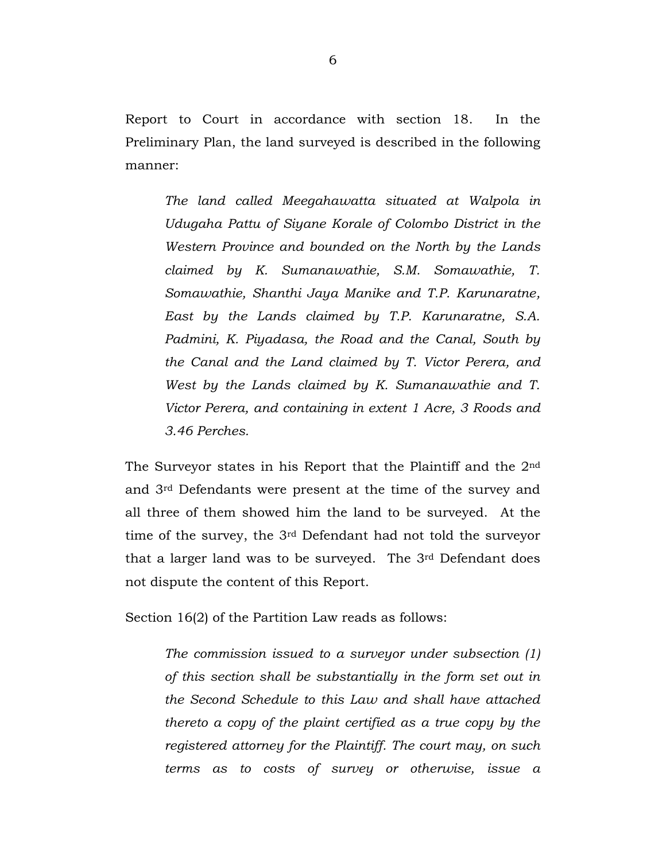Report to Court in accordance with section 18. In the Preliminary Plan, the land surveyed is described in the following manner:

*The land called Meegahawatta situated at Walpola in Udugaha Pattu of Siyane Korale of Colombo District in the Western Province and bounded on the North by the Lands claimed by K. Sumanawathie, S.M. Somawathie, T. Somawathie, Shanthi Jaya Manike and T.P. Karunaratne, East by the Lands claimed by T.P. Karunaratne, S.A. Padmini, K. Piyadasa, the Road and the Canal, South by the Canal and the Land claimed by T. Victor Perera, and West by the Lands claimed by K. Sumanawathie and T. Victor Perera, and containing in extent 1 Acre, 3 Roods and 3.46 Perches.* 

The Surveyor states in his Report that the Plaintiff and the 2nd and 3rd Defendants were present at the time of the survey and all three of them showed him the land to be surveyed. At the time of the survey, the 3rd Defendant had not told the surveyor that a larger land was to be surveyed. The 3rd Defendant does not dispute the content of this Report.

Section 16(2) of the Partition Law reads as follows:

*The commission issued to a surveyor under subsection (1) of this section shall be substantially in the form set out in the Second Schedule to this Law and shall have attached thereto a copy of the plaint certified as a true copy by the registered attorney for the Plaintiff. The court may, on such terms as to costs of survey or otherwise, issue a*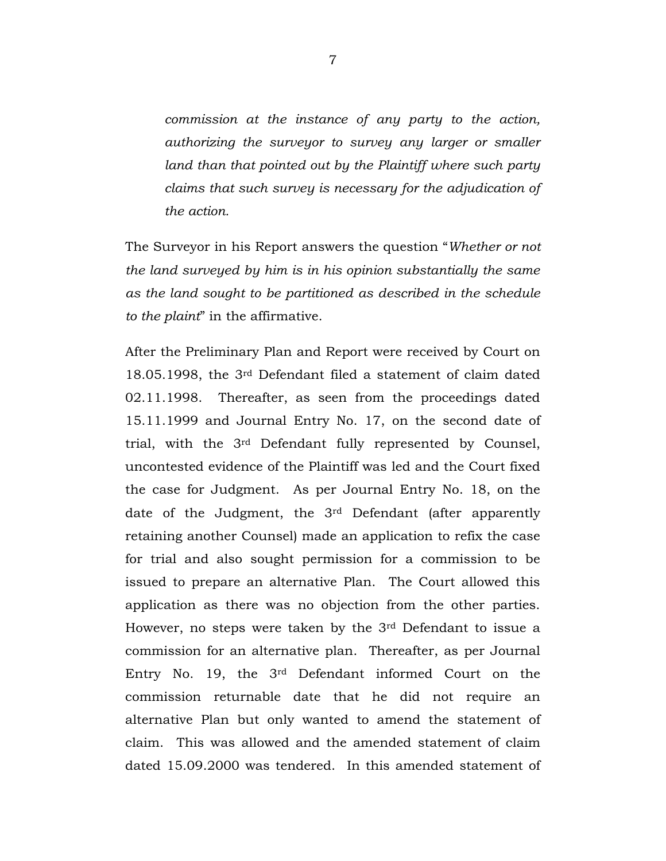*commission at the instance of any party to the action, authorizing the surveyor to survey any larger or smaller*  land than that pointed out by the Plaintiff where such party *claims that such survey is necessary for the adjudication of the action.*

The Surveyor in his Report answers the question "*Whether or not the land surveyed by him is in his opinion substantially the same as the land sought to be partitioned as described in the schedule to the plaint*" in the affirmative.

After the Preliminary Plan and Report were received by Court on 18.05.1998, the 3rd Defendant filed a statement of claim dated 02.11.1998. Thereafter, as seen from the proceedings dated 15.11.1999 and Journal Entry No. 17, on the second date of trial, with the 3rd Defendant fully represented by Counsel, uncontested evidence of the Plaintiff was led and the Court fixed the case for Judgment. As per Journal Entry No. 18, on the date of the Judgment, the 3rd Defendant (after apparently retaining another Counsel) made an application to refix the case for trial and also sought permission for a commission to be issued to prepare an alternative Plan. The Court allowed this application as there was no objection from the other parties. However, no steps were taken by the 3rd Defendant to issue a commission for an alternative plan. Thereafter, as per Journal Entry No. 19, the 3rd Defendant informed Court on the commission returnable date that he did not require an alternative Plan but only wanted to amend the statement of claim. This was allowed and the amended statement of claim dated 15.09.2000 was tendered. In this amended statement of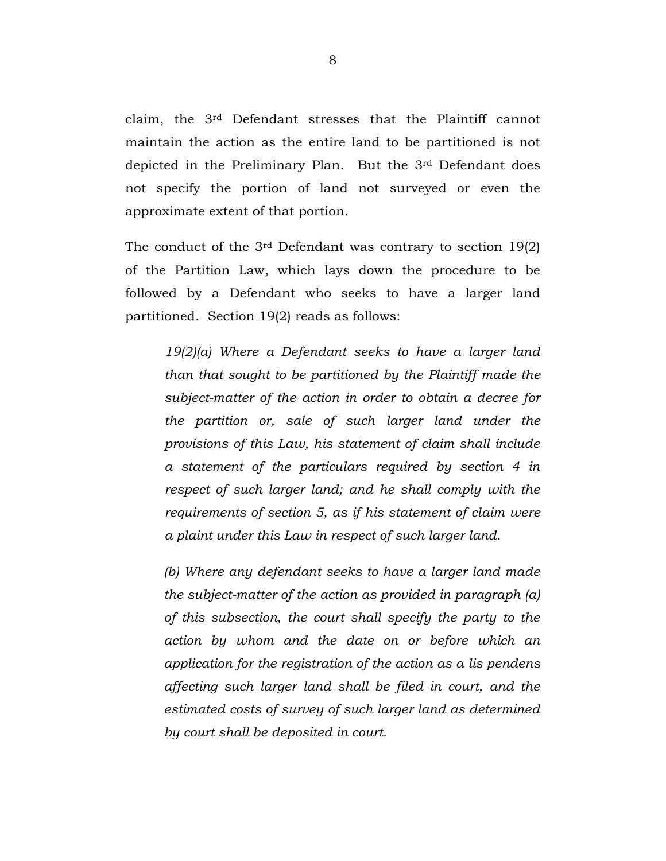claim, the 3rd Defendant stresses that the Plaintiff cannot maintain the action as the entire land to be partitioned is not depicted in the Preliminary Plan. But the 3rd Defendant does not specify the portion of land not surveyed or even the approximate extent of that portion.

The conduct of the  $3<sup>rd</sup>$  Defendant was contrary to section 19(2) of the Partition Law, which lays down the procedure to be followed by a Defendant who seeks to have a larger land partitioned. Section 19(2) reads as follows:

*19(2)(a) Where a Defendant seeks to have a larger land than that sought to be partitioned by the Plaintiff made the subject-matter of the action in order to obtain a decree for the partition or, sale of such larger land under the provisions of this Law, his statement of claim shall include a statement of the particulars required by section 4 in respect of such larger land; and he shall comply with the requirements of section 5, as if his statement of claim were a plaint under this Law in respect of such larger land.*

*(b) Where any defendant seeks to have a larger land made the subject-matter of the action as provided in paragraph (a) of this subsection, the court shall specify the party to the action by whom and the date on or before which an application for the registration of the action as a lis pendens affecting such larger land shall be filed in court, and the estimated costs of survey of such larger land as determined by court shall be deposited in court.*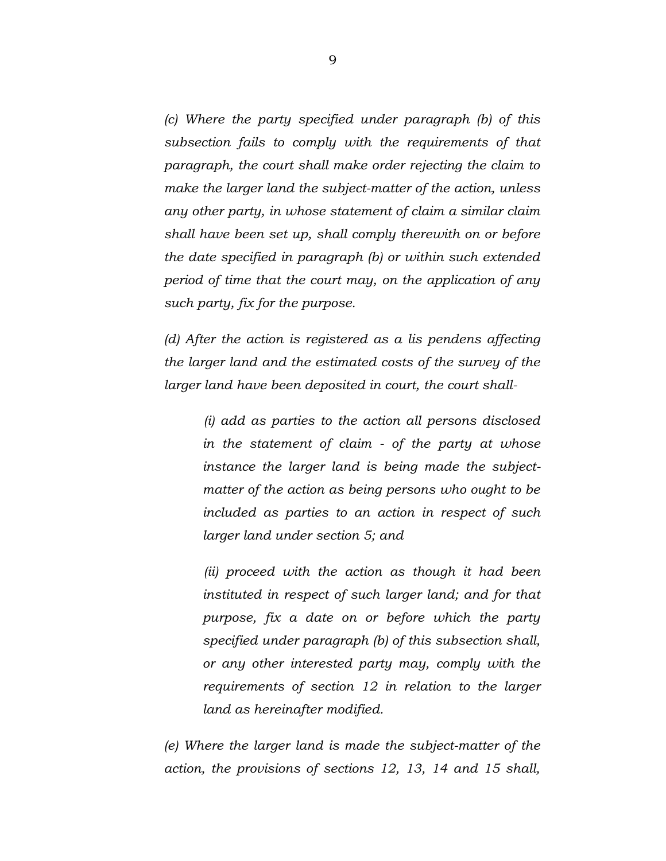*(c) Where the party specified under paragraph (b) of this subsection fails to comply with the requirements of that paragraph, the court shall make order rejecting the claim to make the larger land the subject-matter of the action, unless any other party, in whose statement of claim a similar claim shall have been set up, shall comply therewith on or before the date specified in paragraph (b) or within such extended period of time that the court may, on the application of any such party, fix for the purpose.*

*(d) After the action is registered as a lis pendens affecting the larger land and the estimated costs of the survey of the larger land have been deposited in court, the court shall-*

*(i) add as parties to the action all persons disclosed in the statement of claim - of the party at whose instance the larger land is being made the subjectmatter of the action as being persons who ought to be included as parties to an action in respect of such larger land under section 5; and*

*(ii) proceed with the action as though it had been instituted in respect of such larger land; and for that purpose, fix a date on or before which the party specified under paragraph (b) of this subsection shall, or any other interested party may, comply with the requirements of section 12 in relation to the larger land as hereinafter modified.*

*(e) Where the larger land is made the subject-matter of the action, the provisions of sections 12, 13, 14 and 15 shall,*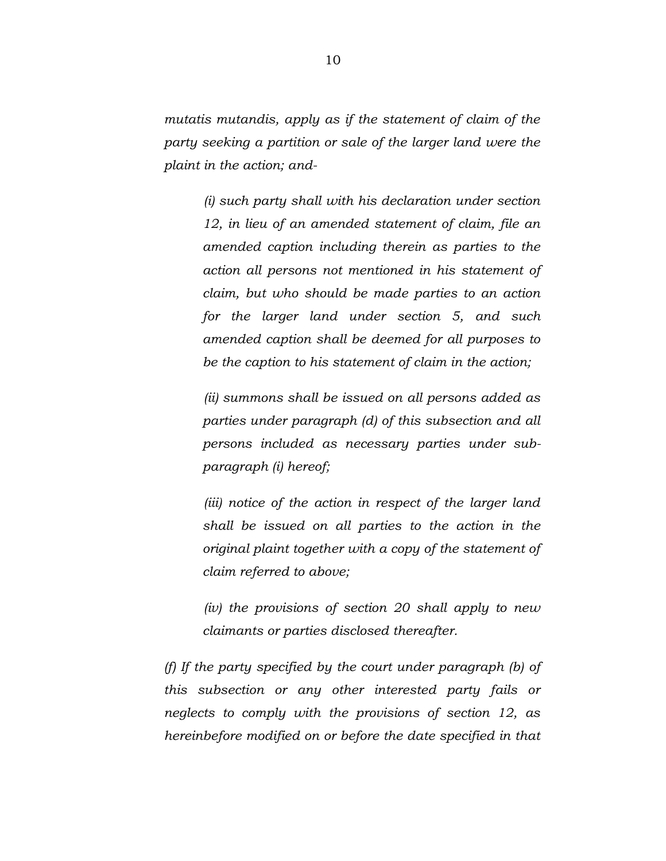*mutatis mutandis, apply as if the statement of claim of the party seeking a partition or sale of the larger land were the plaint in the action; and-*

> *(i) such party shall with his declaration under section 12, in lieu of an amended statement of claim, file an amended caption including therein as parties to the action all persons not mentioned in his statement of claim, but who should be made parties to an action for the larger land under section 5, and such amended caption shall be deemed for all purposes to be the caption to his statement of claim in the action;*

> *(ii) summons shall be issued on all persons added as parties under paragraph (d) of this subsection and all persons included as necessary parties under subparagraph (i) hereof;*

> *(iii) notice of the action in respect of the larger land shall be issued on all parties to the action in the original plaint together with a copy of the statement of claim referred to above;*

> *(iv) the provisions of section 20 shall apply to new claimants or parties disclosed thereafter.*

*(f) If the party specified by the court under paragraph (b) of this subsection or any other interested party fails or neglects to comply with the provisions of section 12, as hereinbefore modified on or before the date specified in that*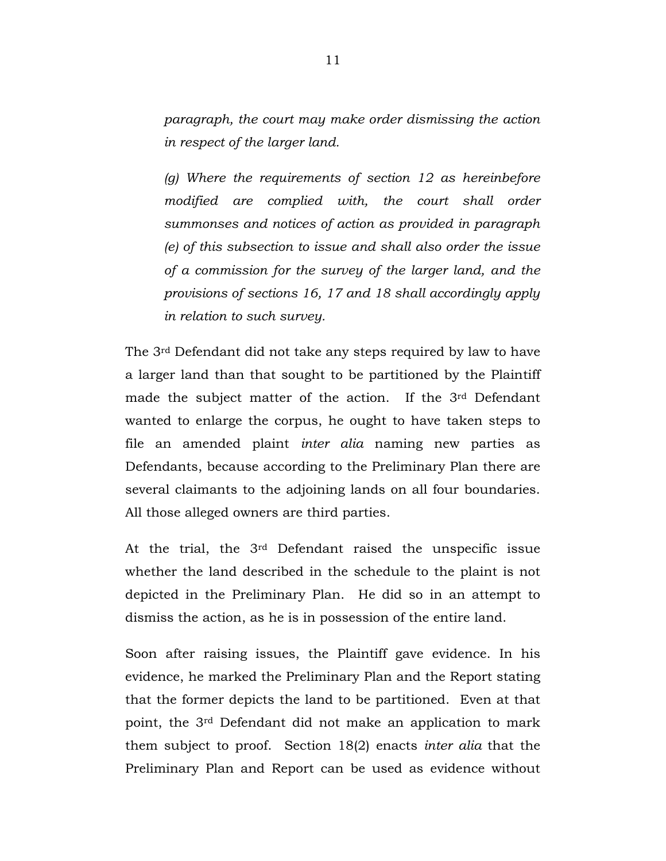*paragraph, the court may make order dismissing the action in respect of the larger land.*

*(g) Where the requirements of section 12 as hereinbefore modified are complied with, the court shall order summonses and notices of action as provided in paragraph (e) of this subsection to issue and shall also order the issue of a commission for the survey of the larger land, and the provisions of sections 16, 17 and 18 shall accordingly apply in relation to such survey.*

The 3rd Defendant did not take any steps required by law to have a larger land than that sought to be partitioned by the Plaintiff made the subject matter of the action. If the 3<sup>rd</sup> Defendant wanted to enlarge the corpus, he ought to have taken steps to file an amended plaint *inter alia* naming new parties as Defendants, because according to the Preliminary Plan there are several claimants to the adjoining lands on all four boundaries. All those alleged owners are third parties.

At the trial, the 3rd Defendant raised the unspecific issue whether the land described in the schedule to the plaint is not depicted in the Preliminary Plan. He did so in an attempt to dismiss the action, as he is in possession of the entire land.

Soon after raising issues, the Plaintiff gave evidence. In his evidence, he marked the Preliminary Plan and the Report stating that the former depicts the land to be partitioned. Even at that point, the 3rd Defendant did not make an application to mark them subject to proof. Section 18(2) enacts *inter alia* that the Preliminary Plan and Report can be used as evidence without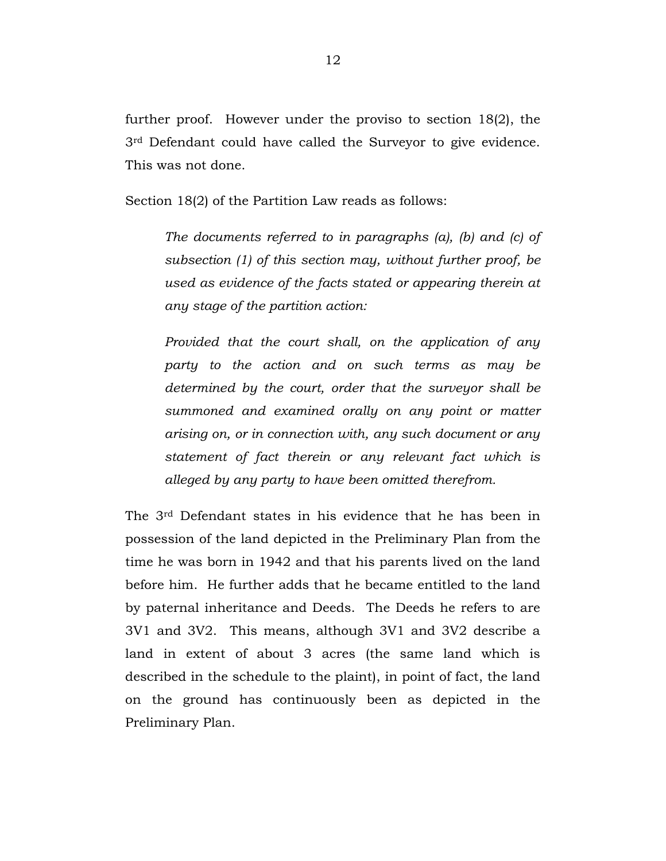further proof. However under the proviso to section 18(2), the 3rd Defendant could have called the Surveyor to give evidence. This was not done.

Section 18(2) of the Partition Law reads as follows:

*The documents referred to in paragraphs (a), (b) and (c) of subsection (1) of this section may, without further proof, be used as evidence of the facts stated or appearing therein at any stage of the partition action:*

*Provided that the court shall, on the application of any party to the action and on such terms as may be determined by the court, order that the surveyor shall be summoned and examined orally on any point or matter arising on, or in connection with, any such document or any statement of fact therein or any relevant fact which is alleged by any party to have been omitted therefrom.*

The 3rd Defendant states in his evidence that he has been in possession of the land depicted in the Preliminary Plan from the time he was born in 1942 and that his parents lived on the land before him. He further adds that he became entitled to the land by paternal inheritance and Deeds. The Deeds he refers to are 3V1 and 3V2. This means, although 3V1 and 3V2 describe a land in extent of about 3 acres (the same land which is described in the schedule to the plaint), in point of fact, the land on the ground has continuously been as depicted in the Preliminary Plan.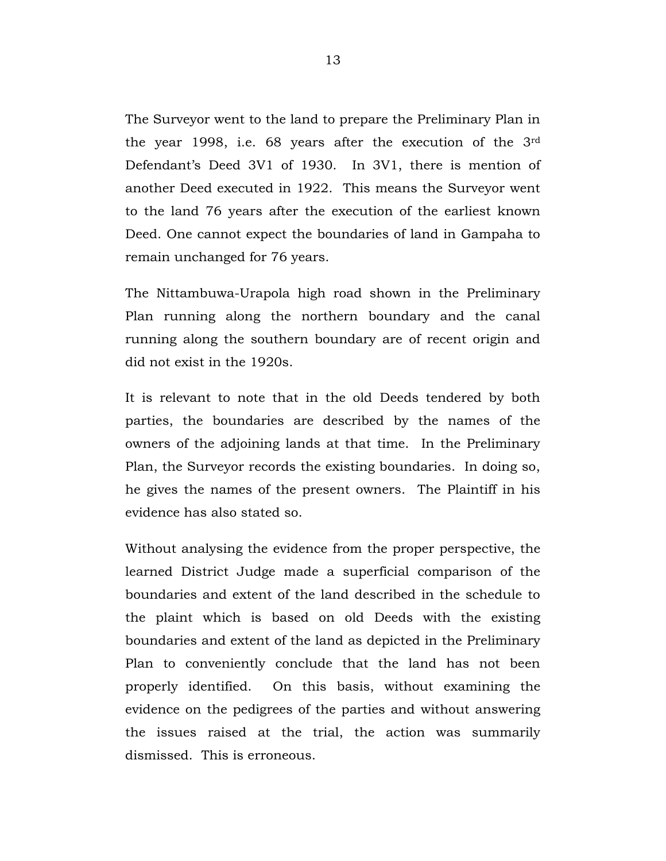The Surveyor went to the land to prepare the Preliminary Plan in the year 1998, i.e. 68 years after the execution of the 3rd Defendant's Deed 3V1 of 1930. In 3V1, there is mention of another Deed executed in 1922. This means the Surveyor went to the land 76 years after the execution of the earliest known Deed. One cannot expect the boundaries of land in Gampaha to remain unchanged for 76 years.

The Nittambuwa-Urapola high road shown in the Preliminary Plan running along the northern boundary and the canal running along the southern boundary are of recent origin and did not exist in the 1920s.

It is relevant to note that in the old Deeds tendered by both parties, the boundaries are described by the names of the owners of the adjoining lands at that time. In the Preliminary Plan, the Surveyor records the existing boundaries. In doing so, he gives the names of the present owners. The Plaintiff in his evidence has also stated so.

Without analysing the evidence from the proper perspective, the learned District Judge made a superficial comparison of the boundaries and extent of the land described in the schedule to the plaint which is based on old Deeds with the existing boundaries and extent of the land as depicted in the Preliminary Plan to conveniently conclude that the land has not been properly identified. On this basis, without examining the evidence on the pedigrees of the parties and without answering the issues raised at the trial, the action was summarily dismissed. This is erroneous.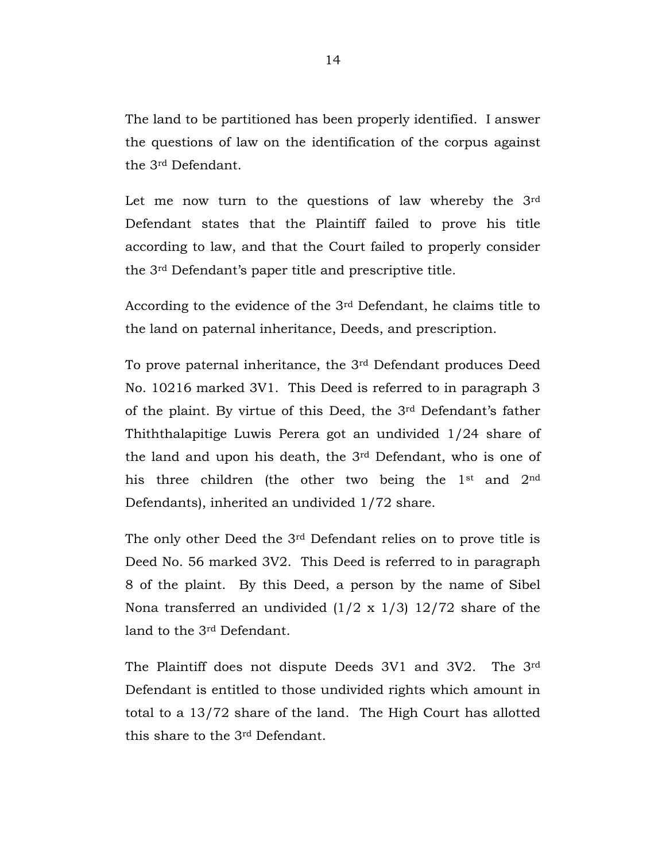The land to be partitioned has been properly identified. I answer the questions of law on the identification of the corpus against the 3rd Defendant.

Let me now turn to the questions of law whereby the 3rd Defendant states that the Plaintiff failed to prove his title according to law, and that the Court failed to properly consider the 3rd Defendant's paper title and prescriptive title.

According to the evidence of the 3rd Defendant, he claims title to the land on paternal inheritance, Deeds, and prescription.

To prove paternal inheritance, the 3rd Defendant produces Deed No. 10216 marked 3V1. This Deed is referred to in paragraph 3 of the plaint. By virtue of this Deed, the 3rd Defendant's father Thiththalapitige Luwis Perera got an undivided 1/24 share of the land and upon his death, the 3rd Defendant, who is one of his three children (the other two being the 1st and 2nd Defendants), inherited an undivided 1/72 share.

The only other Deed the 3rd Defendant relies on to prove title is Deed No. 56 marked 3V2. This Deed is referred to in paragraph 8 of the plaint. By this Deed, a person by the name of Sibel Nona transferred an undivided  $(1/2 \times 1/3)$  12/72 share of the land to the 3rd Defendant.

The Plaintiff does not dispute Deeds 3V1 and 3V2. The 3rd Defendant is entitled to those undivided rights which amount in total to a 13/72 share of the land. The High Court has allotted this share to the 3rd Defendant.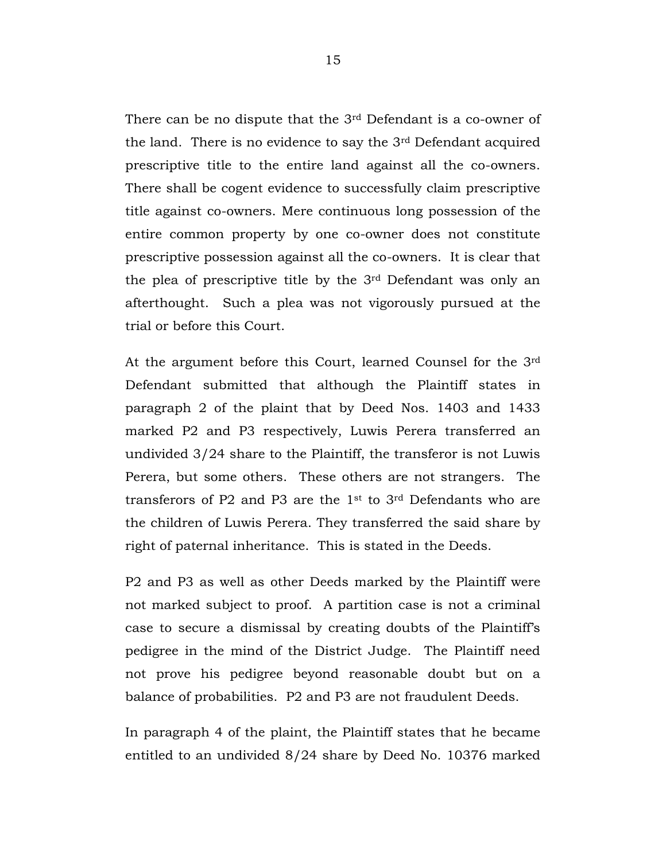There can be no dispute that the 3rd Defendant is a co-owner of the land. There is no evidence to say the 3rd Defendant acquired prescriptive title to the entire land against all the co-owners. There shall be cogent evidence to successfully claim prescriptive title against co-owners. Mere continuous long possession of the entire common property by one co-owner does not constitute prescriptive possession against all the co-owners. It is clear that the plea of prescriptive title by the 3rd Defendant was only an afterthought. Such a plea was not vigorously pursued at the trial or before this Court.

At the argument before this Court, learned Counsel for the 3rd Defendant submitted that although the Plaintiff states in paragraph 2 of the plaint that by Deed Nos. 1403 and 1433 marked P2 and P3 respectively, Luwis Perera transferred an undivided 3/24 share to the Plaintiff, the transferor is not Luwis Perera, but some others. These others are not strangers. The transferors of P2 and P3 are the 1st to 3rd Defendants who are the children of Luwis Perera. They transferred the said share by right of paternal inheritance. This is stated in the Deeds.

P2 and P3 as well as other Deeds marked by the Plaintiff were not marked subject to proof. A partition case is not a criminal case to secure a dismissal by creating doubts of the Plaintiff's pedigree in the mind of the District Judge. The Plaintiff need not prove his pedigree beyond reasonable doubt but on a balance of probabilities. P2 and P3 are not fraudulent Deeds.

In paragraph 4 of the plaint, the Plaintiff states that he became entitled to an undivided 8/24 share by Deed No. 10376 marked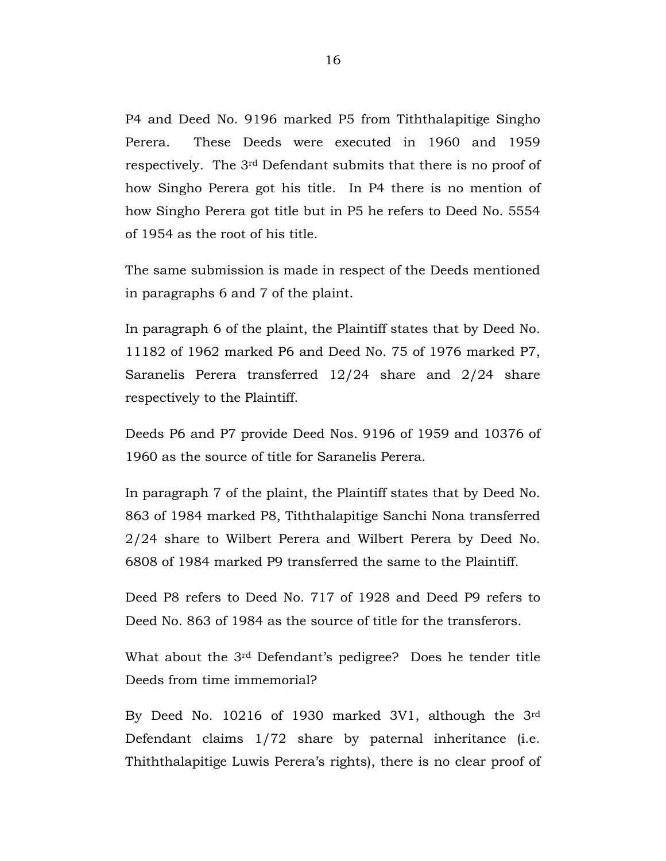P4 and Deed No. 9196 marked P5 from Tiththalapitige Singho Perera. These Deeds were executed in 1960 and 1959 respectively. The 3rd Defendant submits that there is no proof of how Singho Perera got his title. In P4 there is no mention of how Singho Perera got title but in P5 he refers to Deed No. 5554 of 1954 as the root of his title.

The same submission is made in respect of the Deeds mentioned in paragraphs 6 and 7 of the plaint.

In paragraph 6 of the plaint, the Plaintiff states that by Deed No. 11182 of 1962 marked P6 and Deed No. 75 of 1976 marked P7, Saranelis Perera transferred 12/24 share and 2/24 share respectively to the Plaintiff.

Deeds P6 and P7 provide Deed Nos. 9196 of 1959 and 10376 of 1960 as the source of title for Saranelis Perera.

In paragraph 7 of the plaint, the Plaintiff states that by Deed No. 863 of 1984 marked P8, Tiththalapitige Sanchi Nona transferred 2/24 share to Wilbert Perera and Wilbert Perera by Deed No. 6808 of 1984 marked P9 transferred the same to the Plaintiff.

Deed P8 refers to Deed No. 717 of 1928 and Deed P9 refers to Deed No. 863 of 1984 as the source of title for the transferors.

What about the 3rd Defendant's pedigree? Does he tender title Deeds from time immemorial?

By Deed No. 10216 of 1930 marked 3V1, although the 3rd Defendant claims 1/72 share by paternal inheritance (i.e. Thiththalapitige Luwis Perera's rights), there is no clear proof of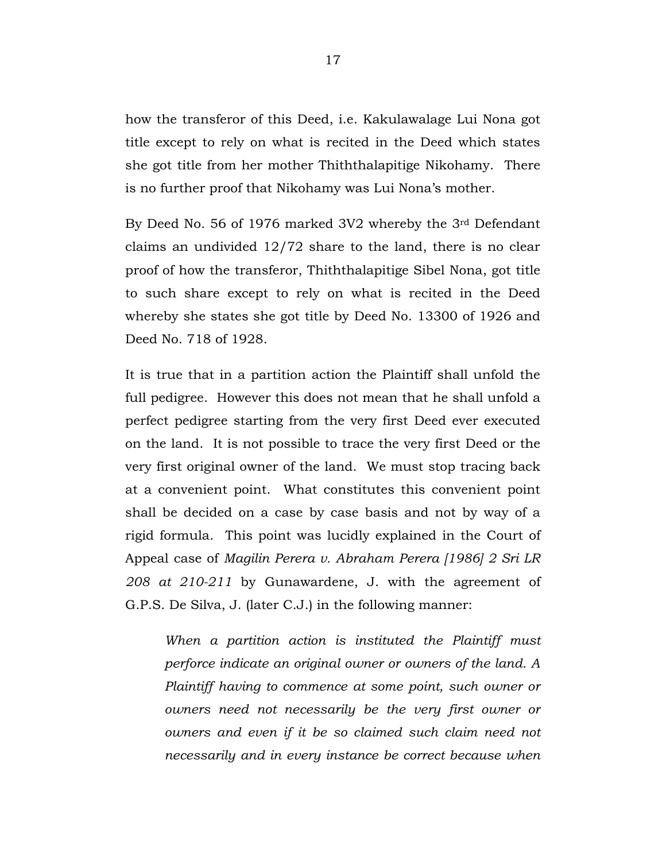how the transferor of this Deed, i.e. Kakulawalage Lui Nona got title except to rely on what is recited in the Deed which states she got title from her mother Thiththalapitige Nikohamy. There is no further proof that Nikohamy was Lui Nona's mother.

By Deed No. 56 of 1976 marked 3V2 whereby the 3rd Defendant claims an undivided 12/72 share to the land, there is no clear proof of how the transferor, Thiththalapitige Sibel Nona, got title to such share except to rely on what is recited in the Deed whereby she states she got title by Deed No. 13300 of 1926 and Deed No. 718 of 1928.

It is true that in a partition action the Plaintiff shall unfold the full pedigree. However this does not mean that he shall unfold a perfect pedigree starting from the very first Deed ever executed on the land. It is not possible to trace the very first Deed or the very first original owner of the land. We must stop tracing back at a convenient point. What constitutes this convenient point shall be decided on a case by case basis and not by way of a rigid formula. This point was lucidly explained in the Court of Appeal case of *Magilin Perera v. Abraham Perera [1986] 2 Sri LR 208 at 210-211* by Gunawardene, J. with the agreement of G.P.S. De Silva, J. (later C.J.) in the following manner:

*When a partition action is instituted the Plaintiff must perforce indicate an original owner or owners of the land. A Plaintiff having to commence at some point, such owner or owners need not necessarily be the very first owner or owners and even if it be so claimed such claim need not necessarily and in every instance be correct because when*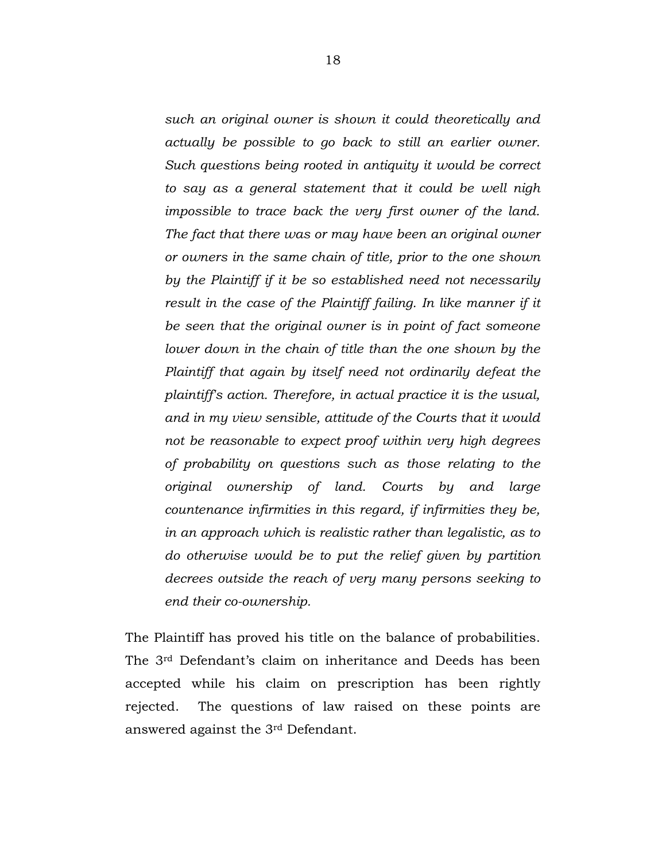*such an original owner is shown it could theoretically and actually be possible to go back to still an earlier owner. Such questions being rooted in antiquity it would be correct to say as a general statement that it could be well nigh impossible to trace back the very first owner of the land. The fact that there was or may have been an original owner or owners in the same chain of title, prior to the one shown by the Plaintiff if it be so established need not necessarily result in the case of the Plaintiff failing. In like manner if it be seen that the original owner is in point of fact someone lower down in the chain of title than the one shown by the Plaintiff that again by itself need not ordinarily defeat the plaintiff's action. Therefore, in actual practice it is the usual, and in my view sensible, attitude of the Courts that it would not be reasonable to expect proof within very high degrees of probability on questions such as those relating to the original ownership of land. Courts by and large countenance infirmities in this regard, if infirmities they be, in an approach which is realistic rather than legalistic, as to do otherwise would be to put the relief given by partition decrees outside the reach of very many persons seeking to end their co-ownership.* 

The Plaintiff has proved his title on the balance of probabilities. The 3rd Defendant's claim on inheritance and Deeds has been accepted while his claim on prescription has been rightly rejected. The questions of law raised on these points are answered against the 3rd Defendant.